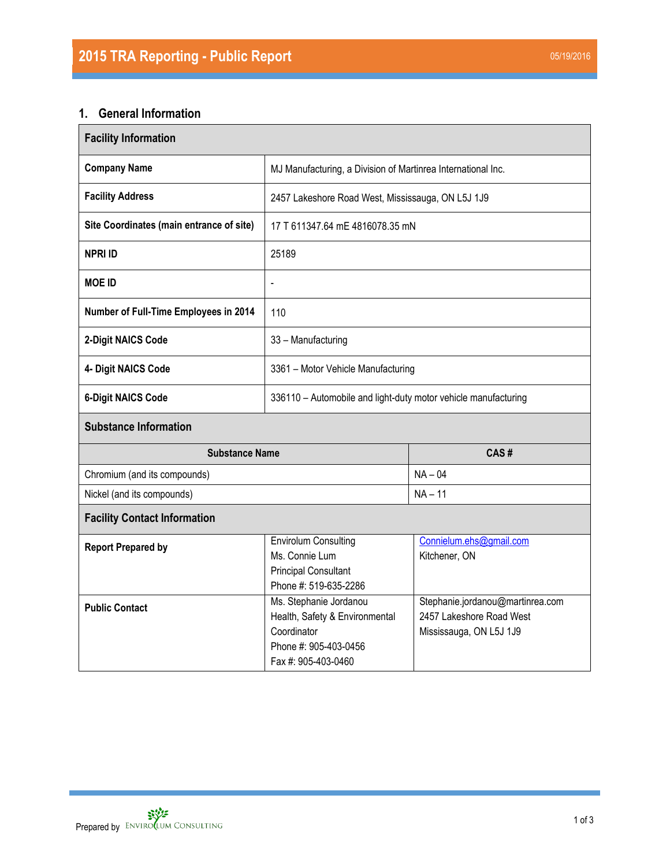# **1. General Information**

| <b>Facility Information</b>              |                                                                                                                         |                                                                                         |  |  |  |  |
|------------------------------------------|-------------------------------------------------------------------------------------------------------------------------|-----------------------------------------------------------------------------------------|--|--|--|--|
| <b>Company Name</b>                      | MJ Manufacturing, a Division of Martinrea International Inc.                                                            |                                                                                         |  |  |  |  |
| <b>Facility Address</b>                  | 2457 Lakeshore Road West, Mississauga, ON L5J 1J9                                                                       |                                                                                         |  |  |  |  |
| Site Coordinates (main entrance of site) | 17 T 611347.64 mE 4816078.35 mN                                                                                         |                                                                                         |  |  |  |  |
| <b>NPRI ID</b>                           | 25189                                                                                                                   |                                                                                         |  |  |  |  |
| <b>MOE ID</b>                            | $\overline{\phantom{a}}$                                                                                                |                                                                                         |  |  |  |  |
| Number of Full-Time Employees in 2014    | 110                                                                                                                     |                                                                                         |  |  |  |  |
| 2-Digit NAICS Code                       | 33 - Manufacturing                                                                                                      |                                                                                         |  |  |  |  |
| 4- Digit NAICS Code                      | 3361 - Motor Vehicle Manufacturing                                                                                      |                                                                                         |  |  |  |  |
| <b>6-Digit NAICS Code</b>                | 336110 - Automobile and light-duty motor vehicle manufacturing                                                          |                                                                                         |  |  |  |  |
| <b>Substance Information</b>             |                                                                                                                         |                                                                                         |  |  |  |  |
| <b>Substance Name</b><br>CAS#            |                                                                                                                         |                                                                                         |  |  |  |  |
| Chromium (and its compounds)             |                                                                                                                         | $NA - 04$                                                                               |  |  |  |  |
| Nickel (and its compounds)               | $NA - 11$                                                                                                               |                                                                                         |  |  |  |  |
| <b>Facility Contact Information</b>      |                                                                                                                         |                                                                                         |  |  |  |  |
| <b>Report Prepared by</b>                | <b>Envirolum Consulting</b><br>Ms. Connie Lum<br><b>Principal Consultant</b><br>Phone #: 519-635-2286                   | Connielum.ehs@gmail.com<br>Kitchener, ON                                                |  |  |  |  |
| <b>Public Contact</b>                    | Ms. Stephanie Jordanou<br>Health, Safety & Environmental<br>Coordinator<br>Phone #: 905-403-0456<br>Fax #: 905-403-0460 | Stephanie.jordanou@martinrea.com<br>2457 Lakeshore Road West<br>Mississauga, ON L5J 1J9 |  |  |  |  |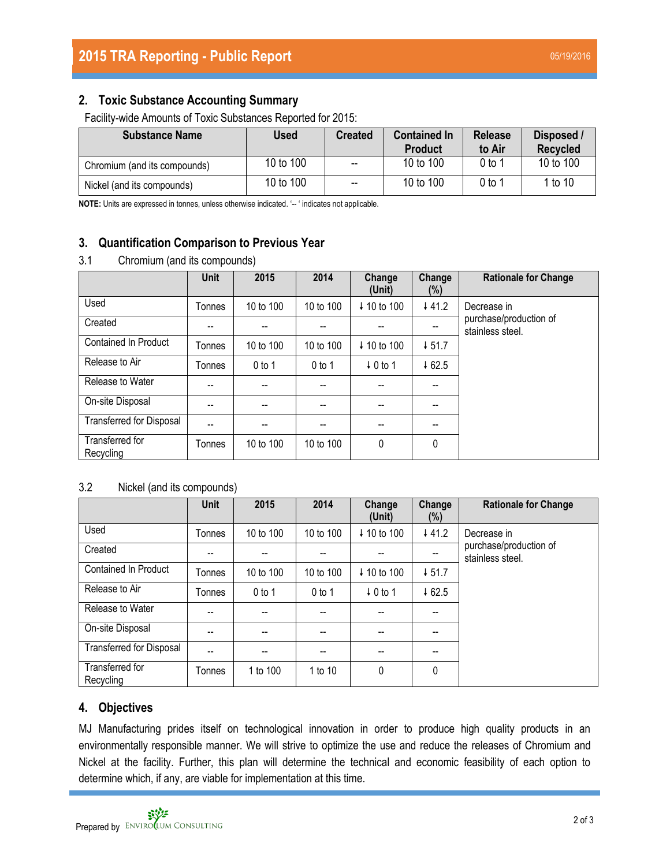## **2. Toxic Substance Accounting Summary**

Facility-wide Amounts of Toxic Substances Reported for 2015:

| <b>Substance Name</b>        | Used      | <b>Created</b>           | <b>Contained In</b><br><b>Product</b> | <b>Release</b><br>to Air | Disposed /<br><b>Recycled</b> |
|------------------------------|-----------|--------------------------|---------------------------------------|--------------------------|-------------------------------|
| Chromium (and its compounds) | 10 to 100 | $\overline{\phantom{a}}$ | 10 to 100                             | $0$ to 1                 | 10 to 100                     |
| Nickel (and its compounds)   | 10 to 100 | $\overline{\phantom{a}}$ | 10 to 100                             | 0 to 1                   | 1 to 10                       |

**NOTE:** Units are expressed in tonnes, unless otherwise indicated. '-- ' indicates not applicable.

## **3. Quantification Comparison to Previous Year**

### 3.1 Chromium (and its compounds)

|                                 | <b>Unit</b> | 2015                     | 2014      | Change<br>(Unit)    | Change<br>(%) | <b>Rationale for Change</b>                |
|---------------------------------|-------------|--------------------------|-----------|---------------------|---------------|--------------------------------------------|
| Used                            | Tonnes      | 10 to 100                | 10 to 100 | ↓ 10 to 100         | 441.2         | Decrease in                                |
| Created                         | --          |                          | --        |                     | --            | purchase/production of<br>stainless steel. |
| <b>Contained In Product</b>     | Tonnes      | 10 to 100                | 10 to 100 | ↓ 10 to 100         | 451.7         |                                            |
| Release to Air                  | Tonnes      | $0$ to 1                 | $0$ to 1  | $\downarrow$ 0 to 1 | 462.5         |                                            |
| Release to Water                | --          | $\overline{\phantom{a}}$ | --        |                     | --            |                                            |
| On-site Disposal                | --          | $-$                      | --        |                     | --            |                                            |
| <b>Transferred for Disposal</b> | --          | --                       | --        | --                  | --            |                                            |
| Transferred for<br>Recycling    | Tonnes      | 10 to 100                | 10 to 100 | 0                   | 0             |                                            |

## 3.2 Nickel (and its compounds)

|                                 | Unit   | 2015      | 2014      | Change<br>(Unit)       | Change<br>(%) | <b>Rationale for Change</b>                |
|---------------------------------|--------|-----------|-----------|------------------------|---------------|--------------------------------------------|
| Used                            | Tonnes | 10 to 100 | 10 to 100 | ↓ 10 to 100            | 441.2         | Decrease in                                |
| Created                         | --     | $- -$     | --        | --                     | --            | purchase/production of<br>stainless steel. |
| <b>Contained In Product</b>     | Tonnes | 10 to 100 | 10 to 100 | $\downarrow$ 10 to 100 | $+51.7$       |                                            |
| Release to Air                  | Tonnes | $0$ to 1  | $0$ to 1  | $\downarrow$ 0 to 1    | 462.5         |                                            |
| Release to Water                | --     | $-$       | --        |                        | --            |                                            |
| On-site Disposal                | --     | $-$       | --        | --                     | --            |                                            |
| <b>Transferred for Disposal</b> | --     |           | --        | --                     | --            |                                            |
| Transferred for<br>Recycling    | Tonnes | 1 to 100  | 1 to 10   | 0                      | 0             |                                            |

## **4. Objectives**

MJ Manufacturing prides itself on technological innovation in order to produce high quality products in an environmentally responsible manner. We will strive to optimize the use and reduce the releases of Chromium and Nickel at the facility. Further, this plan will determine the technical and economic feasibility of each option to determine which, if any, are viable for implementation at this time.